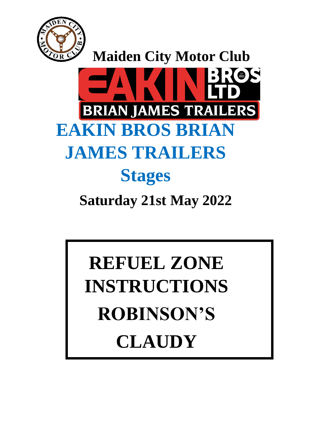



# **REFUEL ZONE INSTRUCTIONS ROBINSON'S CLAUDY**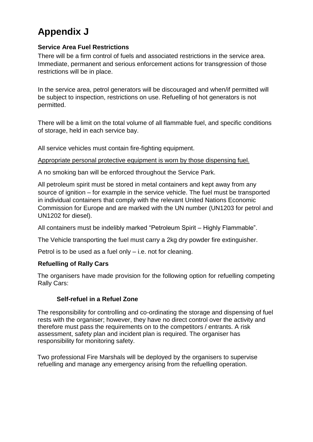# **Appendix J**

### **Service Area Fuel Restrictions**

There will be a firm control of fuels and associated restrictions in the service area. Immediate, permanent and serious enforcement actions for transgression of those restrictions will be in place.

In the service area, petrol generators will be discouraged and when/if permitted will be subject to inspection, restrictions on use. Refuelling of hot generators is not permitted.

There will be a limit on the total volume of all flammable fuel, and specific conditions of storage, held in each service bay.

All service vehicles must contain fire-fighting equipment.

Appropriate personal protective equipment is worn by those dispensing fuel.

A no smoking ban will be enforced throughout the Service Park.

All petroleum spirit must be stored in metal containers and kept away from any source of ignition – for example in the service vehicle. The fuel must be transported in individual containers that comply with the relevant United Nations Economic Commission for Europe and are marked with the UN number (UN1203 for petrol and UN1202 for diesel).

All containers must be indelibly marked "Petroleum Spirit – Highly Flammable".

The Vehicle transporting the fuel must carry a 2kg dry powder fire extinguisher.

Petrol is to be used as a fuel only – i.e. not for cleaning.

# **Refuelling of Rally Cars**

The organisers have made provision for the following option for refuelling competing Rally Cars:

# **Self-refuel in a Refuel Zone**

The responsibility for controlling and co-ordinating the storage and dispensing of fuel rests with the organiser; however, they have no direct control over the activity and therefore must pass the requirements on to the competitors / entrants. A risk assessment, safety plan and incident plan is required. The organiser has responsibility for monitoring safety.

Two professional Fire Marshals will be deployed by the organisers to supervise refuelling and manage any emergency arising from the refuelling operation.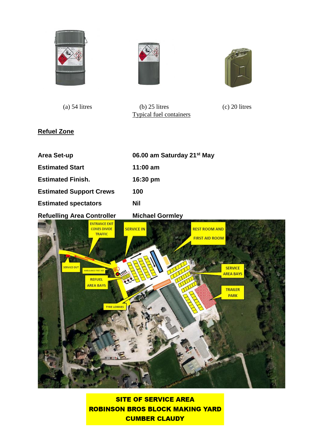





 (a) 54 litres (b) 25 litres (c) 20 litres Typical fuel containers

# **Refuel Zone**

| <b>Area Set-up</b>                | 06.00 am Saturday 21 <sup>st</sup> May |
|-----------------------------------|----------------------------------------|
| <b>Estimated Start</b>            | $11:00 \text{ am}$                     |
| <b>Estimated Finish.</b>          | 16:30 pm                               |
| <b>Estimated Support Crews</b>    | 100                                    |
| <b>Estimated spectators</b>       | <b>Nil</b>                             |
| <b>Refuelling Area Controller</b> | <b>Michael Gormley</b>                 |



**SITE OF SERVICE AREA ROBINSON BROS BLOCK MAKING YARD CUMBER CLAUDY**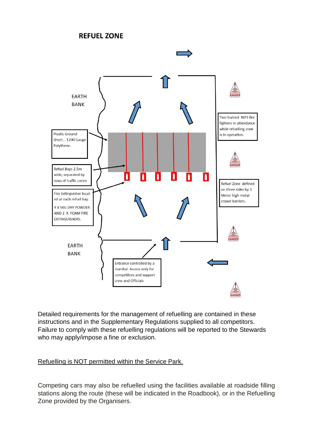# **REFUEL ZONE**



Detailed requirements for the management of refuelling are contained in these instructions and in the Supplementary Regulations supplied to all competitors. Failure to comply with these refuelling regulations will be reported to the Stewards who may apply/impose a fine or exclusion.

#### Refuelling is NOT permitted within the Service Park.

Competing cars may also be refuelled using the facilities available at roadside filling stations along the route (these will be indicated in the Roadbook), or in the Refuelling Zone provided by the Organisers.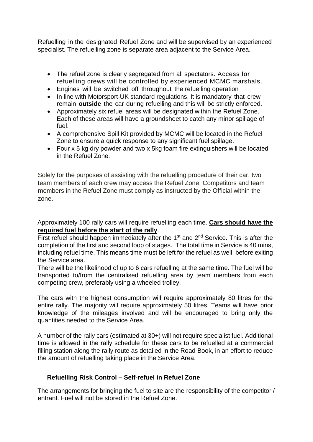Refuelling in the designated Refuel Zone and will be supervised by an experienced specialist. The refuelling zone is separate area adjacent to the Service Area.

- The refuel zone is clearly segregated from all spectators. Access for refuelling crews will be controlled by experienced MCMC marshals.
- Engines will be switched off throughout the refuelling operation
- In line with Motorsport-UK standard regulations, It is mandatory that crew remain **outside** the car during refuelling and this will be strictly enforced.
- Approximately six refuel areas will be designated within the Refuel Zone. Each of these areas will have a groundsheet to catch any minor spillage of fuel.
- A comprehensive Spill Kit provided by MCMC will be located in the Refuel Zone to ensure a quick response to any significant fuel spillage.
- Four x 5 kg dry powder and two x 5kg foam fire extinguishers will be located in the Refuel Zone.

Solely for the purposes of assisting with the refuelling procedure of their car, two team members of each crew may access the Refuel Zone. Competitors and team members in the Refuel Zone must comply as instructed by the Official within the zone.

Approximately 100 rally cars will require refuelling each time. **Cars should have the required fuel before the start of the rally**.

First refuel should happen immediately after the  $1<sup>st</sup>$  and  $2<sup>nd</sup>$  Service. This is after the completion of the first and second loop of stages. The total time in Service is 40 mins, including refuel time. This means time must be left for the refuel as well, before exiting the Service area.

There will be the likelihood of up to 6 cars refuelling at the same time. The fuel will be transported to/from the centralised refuelling area by team members from each competing crew, preferably using a wheeled trolley.

The cars with the highest consumption will require approximately 80 litres for the entire rally. The majority will require approximately 50 litres. Teams will have prior knowledge of the mileages involved and will be encouraged to bring only the quantities needed to the Service Area.

A number of the rally cars (estimated at 30+) will not require specialist fuel. Additional time is allowed in the rally schedule for these cars to be refuelled at a commercial filling station along the rally route as detailed in the Road Book, in an effort to reduce the amount of refuelling taking place in the Service Area.

# **Refuelling Risk Control – Self-refuel in Refuel Zone**

The arrangements for bringing the fuel to site are the responsibility of the competitor / entrant. Fuel will not be stored in the Refuel Zone.